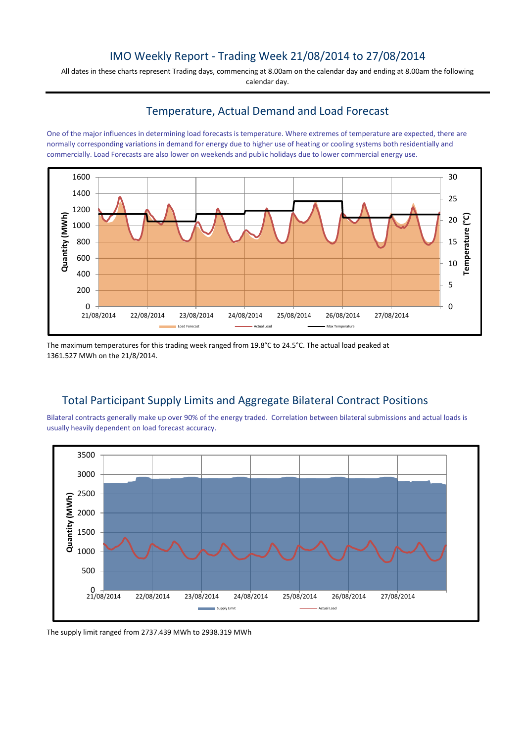## IMO Weekly Report - Trading Week 21/08/2014 to 27/08/2014

All dates in these charts represent Trading days, commencing at 8.00am on the calendar day and ending at 8.00am the following calendar day.

## Temperature, Actual Demand and Load Forecast

One of the major influences in determining load forecasts is temperature. Where extremes of temperature are expected, there are normally corresponding variations in demand for energy due to higher use of heating or cooling systems both residentially and commercially. Load Forecasts are also lower on weekends and public holidays due to lower commercial energy use.



The maximum temperatures for this trading week ranged from 19.8°C to 24.5°C. The actual load peaked at 1361.527 MWh on the 21/8/2014.

## Total Participant Supply Limits and Aggregate Bilateral Contract Positions

Bilateral contracts generally make up over 90% of the energy traded. Correlation between bilateral submissions and actual loads is usually heavily dependent on load forecast accuracy.



The supply limit ranged from 2737.439 MWh to 2938.319 MWh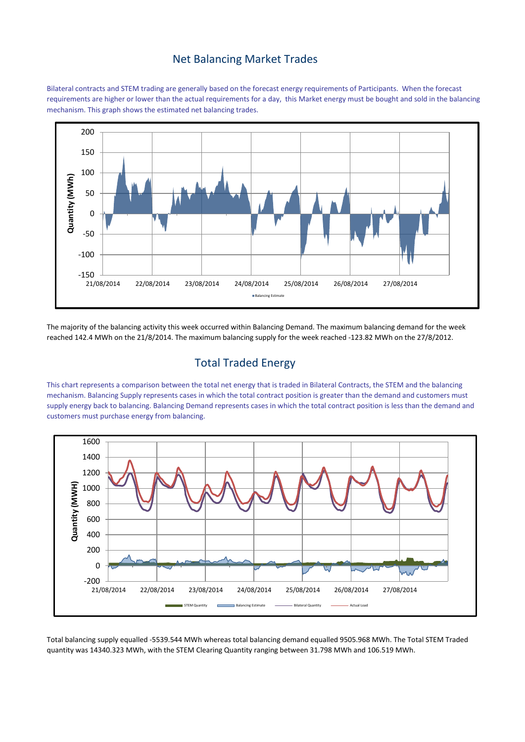#### Net Balancing Market Trades

Bilateral contracts and STEM trading are generally based on the forecast energy requirements of Participants. When the forecast requirements are higher or lower than the actual requirements for a day, this Market energy must be bought and sold in the balancing mechanism. This graph shows the estimated net balancing trades.



The majority of the balancing activity this week occurred within Balancing Demand. The maximum balancing demand for the week reached 142.4 MWh on the 21/8/2014. The maximum balancing supply for the week reached -123.82 MWh on the 27/8/2012.

# Total Traded Energy

This chart represents a comparison between the total net energy that is traded in Bilateral Contracts, the STEM and the balancing mechanism. Balancing Supply represents cases in which the total contract position is greater than the demand and customers must supply energy back to balancing. Balancing Demand represents cases in which the total contract position is less than the demand and customers must purchase energy from balancing.



Total balancing supply equalled -5539.544 MWh whereas total balancing demand equalled 9505.968 MWh. The Total STEM Traded quantity was 14340.323 MWh, with the STEM Clearing Quantity ranging between 31.798 MWh and 106.519 MWh.